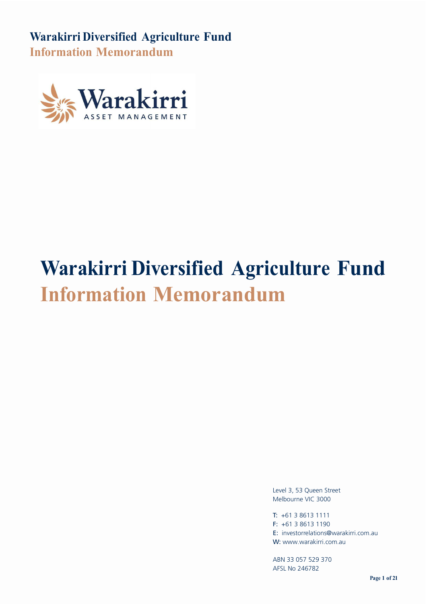

# **Warakirri Diversified Agriculture Fund Information Memorandum**

Level 3, 53 Queen Street Melbourne VIC 3000

T: +61 3 8613 1111 F: +61 3 8613 1190 E: investorrelations@warakirri.com.au W: www.warakirri.com.au

ABN 33 057 529 370 AFSL No 246782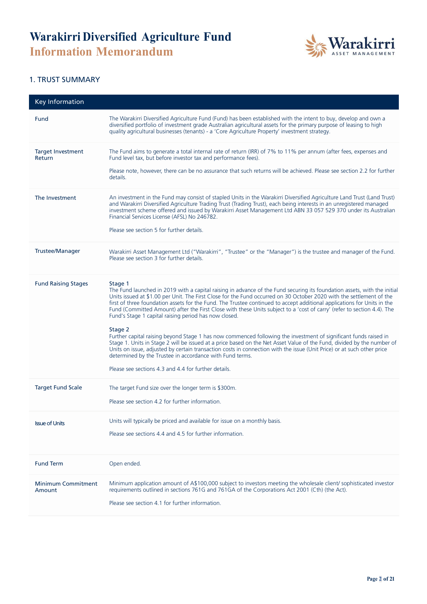

#### 1. TRUST SUMMARY

| <b>Key Information</b>              |                                                                                                                                                                                                                                                                                                                                                                                                                                                                                                                                                                                                                                                                                                                                                                                                                                                                                                                                                                                                                                                                                   |
|-------------------------------------|-----------------------------------------------------------------------------------------------------------------------------------------------------------------------------------------------------------------------------------------------------------------------------------------------------------------------------------------------------------------------------------------------------------------------------------------------------------------------------------------------------------------------------------------------------------------------------------------------------------------------------------------------------------------------------------------------------------------------------------------------------------------------------------------------------------------------------------------------------------------------------------------------------------------------------------------------------------------------------------------------------------------------------------------------------------------------------------|
| Fund                                | The Warakirri Diversified Agriculture Fund (Fund) has been established with the intent to buy, develop and own a<br>diversified portfolio of investment grade Australian agricultural assets for the primary purpose of leasing to high<br>quality agricultural businesses (tenants) - a 'Core Agriculture Property' investment strategy.                                                                                                                                                                                                                                                                                                                                                                                                                                                                                                                                                                                                                                                                                                                                         |
| <b>Target Investment</b><br>Return  | The Fund aims to generate a total internal rate of return (IRR) of 7% to 11% per annum (after fees, expenses and<br>Fund level tax, but before investor tax and performance fees).<br>Please note, however, there can be no assurance that such returns will be achieved. Please see section 2.2 for further<br>details.                                                                                                                                                                                                                                                                                                                                                                                                                                                                                                                                                                                                                                                                                                                                                          |
| The Investment                      | An investment in the Fund may consist of stapled Units in the Warakirri Diversified Agriculture Land Trust (Land Trust)<br>and Warakirri Diversified Agriculture Trading Trust (Trading Trust), each being interests in an unregistered managed<br>investment scheme offered and issued by Warakirri Asset Management Ltd ABN 33 057 529 370 under its Australian<br>Financial Services License (AFSL) No 246782.<br>Please see section 5 for further details.                                                                                                                                                                                                                                                                                                                                                                                                                                                                                                                                                                                                                    |
| <b>Trustee/Manager</b>              | Warakirri Asset Management Ltd ("Warakirri", "Trustee" or the "Manager") is the trustee and manager of the Fund.<br>Please see section 3 for further details.                                                                                                                                                                                                                                                                                                                                                                                                                                                                                                                                                                                                                                                                                                                                                                                                                                                                                                                     |
| <b>Fund Raising Stages</b>          | Stage 1<br>The Fund launched in 2019 with a capital raising in advance of the Fund securing its foundation assets, with the initial<br>Units issued at \$1.00 per Unit. The First Close for the Fund occurred on 30 October 2020 with the settlement of the<br>first of three foundation assets for the Fund. The Trustee continued to accept additional applications for Units in the<br>Fund (Committed Amount) after the First Close with these Units subject to a 'cost of carry' (refer to section 4.4). The<br>Fund's Stage 1 capital raising period has now closed.<br>Stage 2<br>Further capital raising beyond Stage 1 has now commenced following the investment of significant funds raised in<br>Stage 1. Units in Stage 2 will be issued at a price based on the Net Asset Value of the Fund, divided by the number of<br>Units on issue, adjusted by certain transaction costs in connection with the issue (Unit Price) or at such other price<br>determined by the Trustee in accordance with Fund terms.<br>Please see sections 4.3 and 4.4 for further details. |
| <b>Target Fund Scale</b>            | The target Fund size over the longer term is \$300m.<br>Please see section 4.2 for further information.                                                                                                                                                                                                                                                                                                                                                                                                                                                                                                                                                                                                                                                                                                                                                                                                                                                                                                                                                                           |
| <b>Issue of Units</b>               | Units will typically be priced and available for issue on a monthly basis.<br>Please see sections 4.4 and 4.5 for further information.                                                                                                                                                                                                                                                                                                                                                                                                                                                                                                                                                                                                                                                                                                                                                                                                                                                                                                                                            |
| <b>Fund Term</b>                    | Open ended.                                                                                                                                                                                                                                                                                                                                                                                                                                                                                                                                                                                                                                                                                                                                                                                                                                                                                                                                                                                                                                                                       |
| <b>Minimum Commitment</b><br>Amount | Minimum application amount of A\$100,000 subject to investors meeting the wholesale client/ sophisticated investor<br>requirements outlined in sections 761G and 761GA of the Corporations Act 2001 (Cth) (the Act).<br>Please see section 4.1 for further information.                                                                                                                                                                                                                                                                                                                                                                                                                                                                                                                                                                                                                                                                                                                                                                                                           |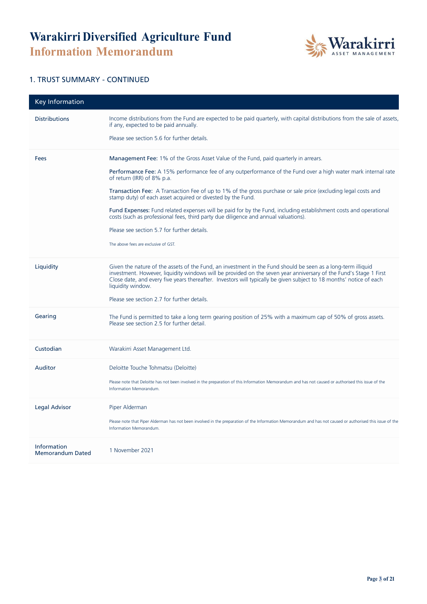

#### 1. TRUST SUMMARY - CONTINUED

| <b>Key Information</b>                 |                                                                                                                                                                                                                                                                                                                                                                                                                              |
|----------------------------------------|------------------------------------------------------------------------------------------------------------------------------------------------------------------------------------------------------------------------------------------------------------------------------------------------------------------------------------------------------------------------------------------------------------------------------|
| <b>Distributions</b>                   | Income distributions from the Fund are expected to be paid quarterly, with capital distributions from the sale of assets,<br>if any, expected to be paid annually.<br>Please see section 5.6 for further details.                                                                                                                                                                                                            |
| Fees                                   | <b>Management Fee: 1%</b> of the Gross Asset Value of the Fund, paid quarterly in arrears.<br>Performance Fee: A 15% performance fee of any outperformance of the Fund over a high water mark internal rate<br>of return (IRR) of 8% p.a.                                                                                                                                                                                    |
|                                        | <b>Transaction Fee:</b> A Transaction Fee of up to 1% of the gross purchase or sale price (excluding legal costs and<br>stamp duty) of each asset acquired or divested by the Fund.                                                                                                                                                                                                                                          |
|                                        | Fund Expenses: Fund related expenses will be paid for by the Fund, including establishment costs and operational<br>costs (such as professional fees, third party due diligence and annual valuations).                                                                                                                                                                                                                      |
|                                        | Please see section 5.7 for further details.                                                                                                                                                                                                                                                                                                                                                                                  |
|                                        | The above fees are exclusive of GST.                                                                                                                                                                                                                                                                                                                                                                                         |
| Liquidity                              | Given the nature of the assets of the Fund, an investment in the Fund should be seen as a long-term illiquid<br>investment. However, liquidity windows will be provided on the seven year anniversary of the Fund's Stage 1 First<br>Close date, and every five years thereafter. Investors will typically be given subject to 18 months' notice of each<br>liquidity window.<br>Please see section 2.7 for further details. |
|                                        |                                                                                                                                                                                                                                                                                                                                                                                                                              |
| Gearing                                | The Fund is permitted to take a long term gearing position of 25% with a maximum cap of 50% of gross assets.<br>Please see section 2.5 for further detail.                                                                                                                                                                                                                                                                   |
| Custodian                              | Warakirri Asset Management Ltd.                                                                                                                                                                                                                                                                                                                                                                                              |
| Auditor                                | Deloitte Touche Tohmatsu (Deloitte)                                                                                                                                                                                                                                                                                                                                                                                          |
|                                        | Please note that Deloitte has not been involved in the preparation of this Information Memorandum and has not caused or authorised this issue of the<br>Information Memorandum.                                                                                                                                                                                                                                              |
| <b>Legal Advisor</b>                   | Piper Alderman                                                                                                                                                                                                                                                                                                                                                                                                               |
|                                        | Please note that Piper Alderman has not been involved in the preparation of the Information Memorandum and has not caused or authorised this issue of the<br>Information Memorandum.                                                                                                                                                                                                                                         |
| Information<br><b>Memorandum Dated</b> | 1 November 2021                                                                                                                                                                                                                                                                                                                                                                                                              |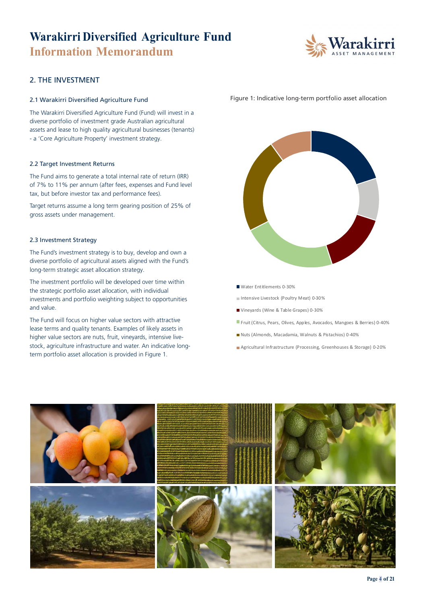

#### 2. THE INVESTMENT

#### 2.1 Warakirri Diversified Agriculture Fund

The Warakirri Diversified Agriculture Fund (Fund) will invest in a diverse portfolio of investment grade Australian agricultural assets and lease to high quality agricultural businesses (tenants) - a 'Core Agriculture Property' investment strategy.

#### 2.2 Target Investment Returns

The Fund aims to generate a total internal rate of return (IRR) of 7% to 11% per annum (after fees, expenses and Fund level tax, but before investor tax and performance fees).

Target returns assume a long term gearing position of 25% of gross assets under management.

#### 2.3 Investment Strategy

The Fund's investment strategy is to buy, develop and own a diverse portfolio of agricultural assets aligned with the Fund's long-term strategic asset allocation strategy.

The investment portfolio will be developed over time within the strategic portfolio asset allocation, with individual investments and portfolio weighting subject to opportunities and value.

The Fund will focus on higher value sectors with attractive lease terms and quality tenants. Examples of likely assets in higher value sectors are nuts, fruit, vineyards, intensive livestock, agriculture infrastructure and water. An indicative longterm portfolio asset allocation is provided in Figure 1.

Figure 1: Indicative long-term portfolio asset allocation



Water Entitlements 0-30%

Intensive Livestock (Poultry Meat) 0-30%

- Vineyards (Wine & Table Grapes) 0-30%
- Fruit (Citrus, Pears, Olives, Apples, Avocados, Mangoes & Berries) 0-40%
- Nuts (Almonds, Macadamia, Walnuts & Pistachios) 0-40%
- Agricultural Infrastructure (Processing, Greenhouses & Storage) 0-20%

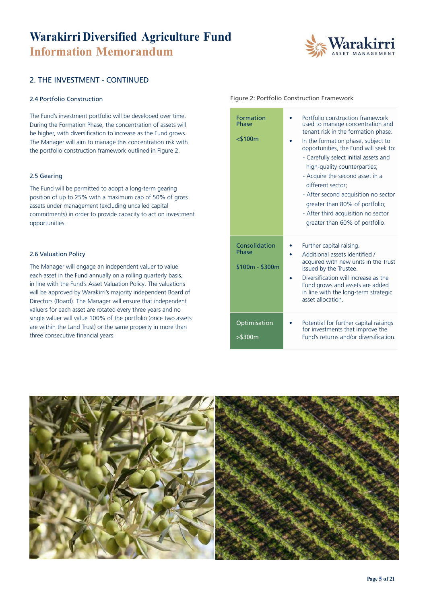

#### 2. THE INVESTMENT - CONTINUED

#### 2.4 Portfolio Construction

The Fund's investment portfolio will be developed over time. During the Formation Phase, the concentration of assets will be higher, with diversification to increase as the Fund grows. The Manager will aim to manage this concentration risk with the portfolio construction framework outlined in Figure 2.

#### 2.5 Gearing

The Fund will be permitted to adopt a long-term gearing position of up to 25% with a maximum cap of 50% of gross assets under management (excluding uncalled capital commitments) in order to provide capacity to act on investment opportunities.

#### 2.6 Valuation Policy

The Manager will engage an independent valuer to value each asset in the Fund annually on a rolling quarterly basis, in line with the Fund's Asset Valuation Policy. The valuations will be approved by Warakirri's majority independent Board of Directors (Board). The Manager will ensure that independent valuers for each asset are rotated every three years and no single valuer will value 100% of the portfolio (once two assets are within the Land Trust) or the same property in more than three consecutive financial years.

#### Figure 2: Portfolio Construction Framework

| <b>Formation</b><br>Phase<br>$<$ \$100 $m$ | Portfolio construction framework<br>used to manage concentration and<br>tenant risk in the formation phase.<br>In the formation phase, subject to<br>opportunities, the Fund will seek to:<br>- Carefully select initial assets and<br>high-quality counterparties;<br>- Acquire the second asset in a<br>different sector:<br>- After second acquisition no sector<br>greater than 80% of portfolio;<br>- After third acquisition no sector<br>greater than 60% of portfolio. |
|--------------------------------------------|--------------------------------------------------------------------------------------------------------------------------------------------------------------------------------------------------------------------------------------------------------------------------------------------------------------------------------------------------------------------------------------------------------------------------------------------------------------------------------|
| Consolidation<br>Phase<br>$$100m - $300m$  | Further capital raising.<br>Additional assets identified /<br>acquired with new units in the Irust<br>issued by the Trustee.<br>Diversification will increase as the<br>Fund grows and assets are added<br>in line with the long-term strategic<br>asset allocation                                                                                                                                                                                                            |
| Optimisation<br>$>$ \$300m                 | Potential for further capital raisings<br>for investments that improve the<br>Fund's returns and/or diversification.                                                                                                                                                                                                                                                                                                                                                           |

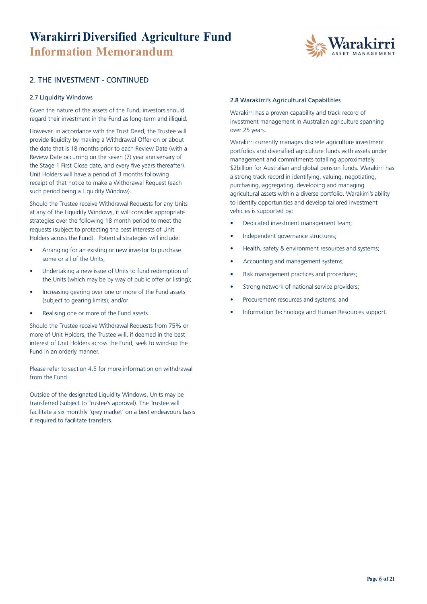

#### 2. THE INVESTMENT - CONTINUED

#### 2.7 Liquidity Windows

Given the nature of the assets of the Fund, investors should regard their investment in the Fund as long-term and illiquid.

However, in accordance with the Trust Deed, the Trustee will provide liquidity by making a Withdrawal Offer on or about the date that is 18 months prior to each Review Date (with a Review Date occurring on the seven (7) year anniversary of the Stage 1 First Close date, and every five years thereafter). Unit Holders will have a period of 3 months following receipt of that notice to make a Withdrawal Request (each such period being a Liquidity Window).

Should the Trustee receive Withdrawal Requests for any Units at any of the Liquidity Windows, it will consider appropriate strategies over the following 18 month period to meet the requests (subject to protecting the best interests of Unit Holders across the Fund). Potential strategies will include:

- Arranging for an existing or new investor to purchase some or all of the Units;
- Undertaking a new issue of Units to fund redemption of the Units (which may be by way of public offer or listing);
- Increasing gearing over one or more of the Fund assets (subject to gearing limits); and/or
- Realising one or more of the Fund assets.

Should the Trustee receive Withdrawal Requests from 75% or more of Unit Holders, the Trustee will, if deemed in the best interest of Unit Holders across the Fund, seek to wind-up the Fund in an orderly manner.

Please refer to section 4.5 for more information on withdrawal from the Fund.

Outside of the designated Liquidity Windows, Units may be transferred (subject to Trustee's approval). The Trustee will facilitate a six monthly 'grey market' on a best endeavours basis if required to facilitate transfers.

#### 2.8 Warakirri's Agricultural Capabilities

Warakirri has a proven capability and track record of investment management in Australian agriculture spanning over 25 years.

Warakirri currently manages discrete agriculture investment portfolios and diversified agriculture funds with assets under management and commitments totalling approximately \$2billion for Australian and global pension funds. Warakirri has a strong track record in identifying, valuing, negotiating, purchasing, aggregating, developing and managing agricultural assets within a diverse portfolio. Warakirri's ability to identify opportunities and develop tailored investment vehicles is supported by:

- Dedicated investment management team;
- Independent governance structures;
- Health, safety & environment resources and systems;
- Accounting and management systems;
- Risk management practices and procedures;
- Strong network of national service providers;
- Procurement resources and systems; and
- Information Technology and Human Resources support.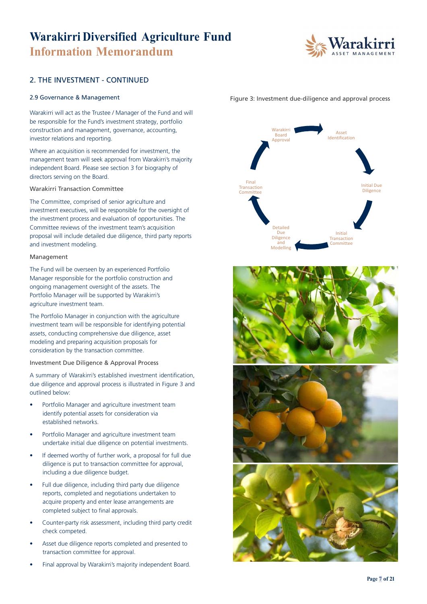

#### 2. THE INVESTMENT - CONTINUED

Warakirri will act as the Trustee / Manager of the Fund and will be responsible for the Fund's investment strategy, portfolio construction and management, governance, accounting, investor relations and reporting.

Where an acquisition is recommended for investment, the management team will seek approval from Warakirri's majority independent Board. Please see section 3 for biography of directors serving on the Board.

Warakirri Transaction Committee

The Committee, comprised of senior agriculture and investment executives, will be responsible for the oversight of the investment process and evaluation of opportunities. The Committee reviews of the investment team's acquisition proposal will include detailed due diligence, third party reports and investment modeling.

#### Management

The Fund will be overseen by an experienced Portfolio Manager responsible for the portfolio construction and ongoing management oversight of the assets. The Portfolio Manager will be supported by Warakirri's agriculture investment team.

The Portfolio Manager in conjunction with the agriculture investment team will be responsible for identifying potential assets, conducting comprehensive due diligence, asset modeling and preparing acquisition proposals for consideration by the transaction committee.

Investment Due Diligence & Approval Process

A summary of Warakirri's established investment identification, due diligence and approval process is illustrated in Figure 3 and outlined below:

- Portfolio Manager and agriculture investment team identify potential assets for consideration via established networks.
- Portfolio Manager and agriculture investment team undertake initial due diligence on potential investments.
- If deemed worthy of further work, a proposal for full due diligence is put to transaction committee for approval, including a due diligence budget.
- Full due diligence, including third party due diligence reports, completed and negotiations undertaken to acquire property and enter lease arrangements are completed subject to final approvals.
- Counter-party risk assessment, including third party credit check competed.
- Asset due diligence reports completed and presented to transaction committee for approval.
- Final approval by Warakirri's majority independent Board.







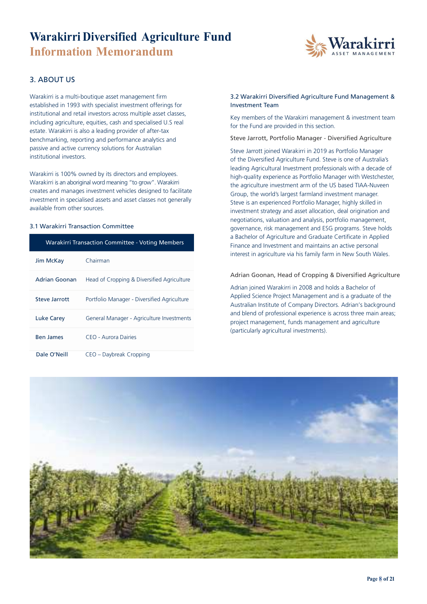

### 3. ABOUT US

Warakirri is a multi-boutique asset management firm established in 1993 with specialist investment offerings for institutional and retail investors across multiple asset classes, including agriculture, equities, cash and specialised U.S real estate. Warakirri is also a leading provider of after-tax benchmarking, reporting and performance analytics and passive and active currency solutions for Australian institutional investors.

Warakirri is 100% owned by its directors and employees. Warakirri is an aboriginal word meaning "to grow". Warakirri creates and manages investment vehicles designed to facilitate investment in specialised assets and asset classes not generally available from other sources.

#### 3.1 Warakirri Transaction Committee

| <b>Warakirri Transaction Committee - Voting Members</b> |                                             |  |
|---------------------------------------------------------|---------------------------------------------|--|
| Jim McKay                                               | Chairman                                    |  |
| Adrian Goonan                                           | Head of Cropping & Diversified Agriculture  |  |
| Steve Jarrott                                           | Portfolio Manager - Diversified Agriculture |  |
| <b>Luke Carey</b>                                       | General Manager - Agriculture Investments   |  |
| <b>Ben James</b>                                        | CEO - Aurora Dairies                        |  |
| Dale O'Neill                                            | CEO – Daybreak Cropping                     |  |

#### 3.2 Warakirri Diversified Agriculture Fund Management & Investment Team

Key members of the Warakirri management & investment team for the Fund are provided in this section.

Steve Jarrott, Portfolio Manager - Diversified Agriculture

Steve Jarrott joined Warakirri in 2019 as Portfolio Manager of the Diversified Agriculture Fund. Steve is one of Australia's leading Agricultural Investment professionals with a decade of high-quality experience as Portfolio Manager with Westchester, the agriculture investment arm of the US based TIAA-Nuveen Group, the world's largest farmland investment manager. Steve is an experienced Portfolio Manager, highly skilled in investment strategy and asset allocation, deal origination and negotiations, valuation and analysis, portfolio management, governance, risk management and ESG programs. Steve holds a Bachelor of Agriculture and Graduate Certificate in Applied Finance and Investment and maintains an active personal interest in agriculture via his family farm in New South Wales.

#### Adrian Goonan, Head of Cropping & Diversified Agriculture

Adrian joined Warakirri in 2008 and holds a Bachelor of Applied Science Project Management and is a graduate of the Australian Institute of Company Directors. Adrian's background and blend of professional experience is across three main areas; project management, funds management and agriculture (particularly agricultural investments).

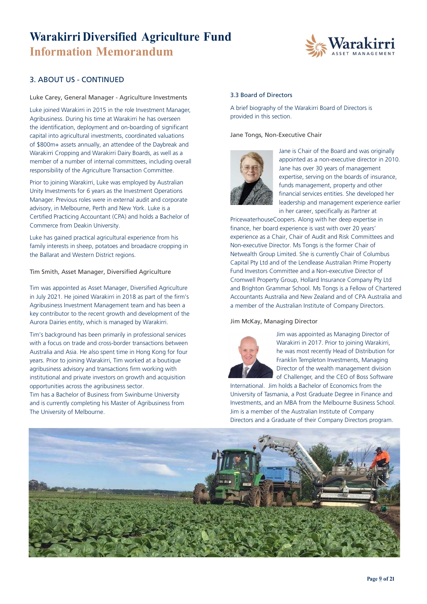

#### 3. ABOUT US - CONTINUED

Luke Carey, General Manager - Agriculture Investments

Luke joined Warakirri in 2015 in the role Investment Manager, Agribusiness. During his time at Warakirri he has overseen the identification, deployment and on-boarding of significant capital into agricultural investments, coordinated valuations of \$800m+ assets annually, an attendee of the Daybreak and Warakirri Cropping and Warakirri Dairy Boards, as well as a member of a number of internal committees, including overall responsibility of the Agriculture Transaction Committee.

Prior to joining Warakirri, Luke was employed by Australian Unity Investments for 6 years as the Investment Operations Manager. Previous roles were in external audit and corporate advisory, in Melbourne, Perth and New York. Luke is a Certified Practicing Accountant (CPA) and holds a Bachelor of Commerce from Deakin University.

Luke has gained practical agricultural experience from his family interests in sheep, potatoes and broadacre cropping in the Ballarat and Western District regions.

Tim Smith, Asset Manager, Diversified Agriculture

Tim was appointed as Asset Manager, Diversified Agriculture in July 2021. He joined Warakirri in 2018 as part of the firm's Agribusiness Investment Management team and has been a key contributor to the recent growth and development of the Aurora Dairies entity, which is managed by Warakirri.

Tim's background has been primarily in professional services with a focus on trade and cross-border transactions between Australia and Asia. He also spent time in Hong Kong for four years. Prior to joining Warakirri, Tim worked at a boutique agribusiness advisory and transactions firm working with institutional and private investors on growth and acquisition opportunities across the agribusiness sector.

Tim has a Bachelor of Business from Swinburne University and is currently completing his Master of Agribusiness from The University of Melbourne.

#### 3.3 Board of Directors

A brief biography of the Warakirri Board of Directors is provided in this section.

Jane Tongs, Non-Executive Chair



Jane is Chair of the Board and was originally appointed as a non-executive director in 2010. Jane has over 30 years of management expertise, serving on the boards of insurance, funds management, property and other financial services entities. She developed her leadership and management experience earlier in her career, specifically as Partner at

PricewaterhouseCoopers. Along with her deep expertise in finance, her board experience is vast with over 20 years' experience as a Chair, Chair of Audit and Risk Committees and Non-executive Director. Ms Tongs is the former Chair of Netwealth Group Limited. She is currently Chair of Columbus Capital Pty Ltd and of the Lendlease Australian Prime Property Fund Investors Committee and a Non-executive Director of Cromwell Property Group, Hollard Insurance Company Pty Ltd and Brighton Grammar School. Ms Tongs is a Fellow of Chartered Accountants Australia and New Zealand and of CPA Australia and a member of the Australian Institute of Company Directors.

#### Jim McKay, Managing Director



Jim was appointed as Managing Director of Warakirri in 2017. Prior to joining Warakirri, he was most recently Head of Distribution for Franklin Templeton Investments, Managing Director of the wealth management division of Challenger, and the CEO of Boss Software

International. Jim holds a Bachelor of Economics from the University of Tasmania, a Post Graduate Degree in Finance and Investments, and an MBA from the Melbourne Business School. Jim is a member of the Australian Institute of Company Directors and a Graduate of their Company Directors program.

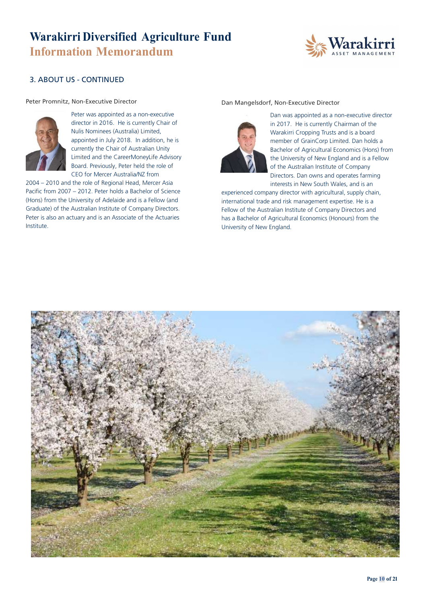

### 3. ABOUT US - CONTINUED

#### Peter Promnitz, Non-Executive Director



Peter was appointed as a non-executive director in 2016. He is currently Chair of Nulis Nominees (Australia) Limited, appointed in July 2018. In addition, he is currently the Chair of Australian Unity Limited and the CareerMoneyLife Advisory Board. Previously, Peter held the role of CEO for Mercer Australia/NZ from

2004 – 2010 and the role of Regional Head, Mercer Asia Pacific from 2007 – 2012. Peter holds a Bachelor of Science (Hons) from the University of Adelaide and is a Fellow (and Graduate) of the Australian Institute of Company Directors. Peter is also an actuary and is an Associate of the Actuaries Institute.

#### Dan Mangelsdorf, Non-Executive Director



Dan was appointed as a non-executive director in 2017. He is currently Chairman of the Warakirri Cropping Trusts and is a board member of GrainCorp Limited. Dan holds a Bachelor of Agricultural Economics (Hons) from the University of New England and is a Fellow of the Australian Institute of Company Directors. Dan owns and operates farming interests in New South Wales, and is an

experienced company director with agricultural, supply chain, international trade and risk management expertise. He is a Fellow of the Australian Institute of Company Directors and has a Bachelor of Agricultural Economics (Honours) from the University of New England.

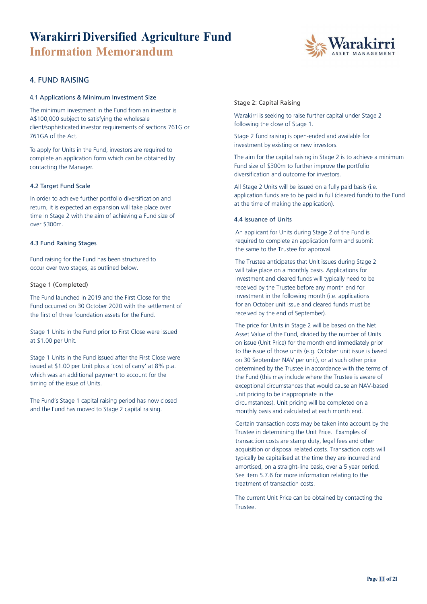

#### 4. FUND RAISING

#### 4.1 Applications & Minimum Investment Size

The minimum investment in the Fund from an investor is A\$100,000 subject to satisfying the wholesale client/sophisticated investor requirements of sections 761G or 761GA of the Act.

To apply for Units in the Fund, investors are required to complete an application form which can be obtained by contacting the Manager.

#### 4.2 Target Fund Scale

In order to achieve further portfolio diversification and return, it is expected an expansion will take place over time in Stage 2 with the aim of achieving a Fund size of over \$300m.

#### 4.3 Fund Raising Stages

Fund raising for the Fund has been structured to occur over two stages, as outlined below.

#### Stage 1 (Completed)

The Fund launched in 2019 and the First Close for the Fund occurred on 30 October 2020 with the settlement of the first of three foundation assets for the Fund.

Stage 1 Units in the Fund prior to First Close were issued at \$1.00 per Unit.

Stage 1 Units in the Fund issued after the First Close were issued at \$1.00 per Unit plus a 'cost of carry' at 8% p.a. which was an additional payment to account for the timing of the issue of Units.

The Fund's Stage 1 capital raising period has now closed and the Fund has moved to Stage 2 capital raising.

#### Stage 2: Capital Raising

Warakirri is seeking to raise further capital under Stage 2 following the close of Stage 1.

Stage 2 fund raising is open-ended and available for investment by existing or new investors.

The aim for the capital raising in Stage 2 is to achieve a minimum Fund size of \$300m to further improve the portfolio diversification and outcome for investors.

All Stage 2 Units will be issued on a fully paid basis (i.e. application funds are to be paid in full (cleared funds) to the Fund at the time of making the application).

#### 4.4 Issuance of Units

An applicant for Units during Stage 2 of the Fund is required to complete an application form and submit the same to the Trustee for approval.

The Trustee anticipates that Unit issues during Stage 2 will take place on a monthly basis. Applications for investment and cleared funds will typically need to be received by the Trustee before any month end for investment in the following month (i.e. applications for an October unit issue and cleared funds must be received by the end of September).

The price for Units in Stage 2 will be based on the Net Asset Value of the Fund, divided by the number of Units on issue (Unit Price) for the month end immediately prior to the issue of those units (e.g. October unit issue is based on 30 September NAV per unit), or at such other price determined by the Trustee in accordance with the terms of the Fund (this may include where the Trustee is aware of exceptional circumstances that would cause an NAV-based unit pricing to be inappropriate in the circumstances). Unit pricing will be completed on a monthly basis and calculated at each month end.

Certain transaction costs may be taken into account by the Trustee in determining the Unit Price. Examples of transaction costs are stamp duty, legal fees and other acquisition or disposal related costs. Transaction costs will typically be capitalised at the time they are incurred and amortised, on a straight-line basis, over a 5 year period. See item 5.7.6 for more information relating to the treatment of transaction costs.

The current Unit Price can be obtained by contacting the Trustee.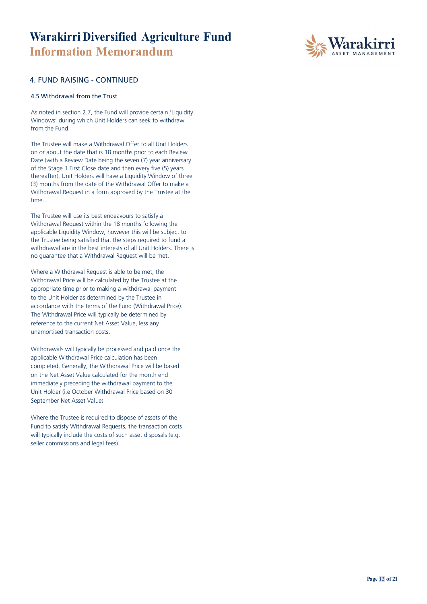

#### 4. FUND RAISING - CONTINUED

#### 4.5 Withdrawal from the Trust

As noted in section 2.7, the Fund will provide certain 'Liquidity Windows' during which Unit Holders can seek to withdraw from the Fund.

The Trustee will make a Withdrawal Offer to all Unit Holders on or about the date that is 18 months prior to each Review Date (with a Review Date being the seven (7) year anniversary of the Stage 1 First Close date and then every five (5) years thereafter). Unit Holders will have a Liquidity Window of three (3) months from the date of the Withdrawal Offer to make a Withdrawal Request in a form approved by the Trustee at the time.

The Trustee will use its best endeavours to satisfy a Withdrawal Request within the 18 months following the applicable Liquidity Window, however this will be subject to the Trustee being satisfied that the steps required to fund a withdrawal are in the best interests of all Unit Holders. There is no guarantee that a Withdrawal Request will be met.

Where a Withdrawal Request is able to be met, the Withdrawal Price will be calculated by the Trustee at the appropriate time prior to making a withdrawal payment to the Unit Holder as determined by the Trustee in accordance with the terms of the Fund (Withdrawal Price). The Withdrawal Price will typically be determined by reference to the current Net Asset Value, less any unamortised transaction costs.

Withdrawals will typically be processed and paid once the applicable Withdrawal Price calculation has been completed. Generally, the Withdrawal Price will be based on the Net Asset Value calculated for the month end immediately preceding the withdrawal payment to the Unit Holder (i.e October Withdrawal Price based on 30 September Net Asset Value)

Where the Trustee is required to dispose of assets of the Fund to satisfy Withdrawal Requests, the transaction costs will typically include the costs of such asset disposals (e.g. seller commissions and legal fees).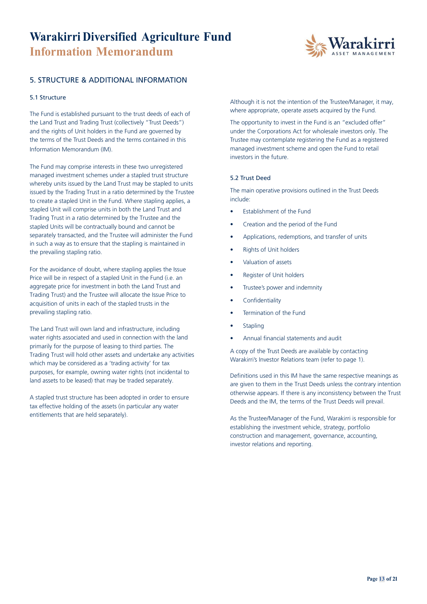

#### 5. STRUCTURE & ADDITIONAL INFORMATION

#### 5.1 Structure

The Fund is established pursuant to the trust deeds of each of the Land Trust and Trading Trust (collectively "Trust Deeds") and the rights of Unit holders in the Fund are governed by the terms of the Trust Deeds and the terms contained in this Information Memorandum (IM).

The Fund may comprise interests in these two unregistered managed investment schemes under a stapled trust structure whereby units issued by the Land Trust may be stapled to units issued by the Trading Trust in a ratio determined by the Trustee to create a stapled Unit in the Fund. Where stapling applies, a stapled Unit will comprise units in both the Land Trust and Trading Trust in a ratio determined by the Trustee and the stapled Units will be contractually bound and cannot be separately transacted, and the Trustee will administer the Fund in such a way as to ensure that the stapling is maintained in the prevailing stapling ratio.

For the avoidance of doubt, where stapling applies the Issue Price will be in respect of a stapled Unit in the Fund (i.e. an aggregate price for investment in both the Land Trust and Trading Trust) and the Trustee will allocate the Issue Price to acquisition of units in each of the stapled trusts in the prevailing stapling ratio.

The Land Trust will own land and infrastructure, including water rights associated and used in connection with the land primarily for the purpose of leasing to third parties. The Trading Trust will hold other assets and undertake any activities which may be considered as a 'trading activity' for tax purposes, for example, owning water rights (not incidental to land assets to be leased) that may be traded separately.

A stapled trust structure has been adopted in order to ensure tax effective holding of the assets (in particular any water entitlements that are held separately).

Although it is not the intention of the Trustee/Manager, it may, where appropriate, operate assets acquired by the Fund.

The opportunity to invest in the Fund is an "excluded offer" under the Corporations Act for wholesale investors only. The Trustee may contemplate registering the Fund as a registered managed investment scheme and open the Fund to retail investors in the future.

#### 5.2 Trust Deed

The main operative provisions outlined in the Trust Deeds include:

- Establishment of the Fund
- Creation and the period of the Fund
- Applications, redemptions, and transfer of units
- Rights of Unit holders
- Valuation of assets
- Register of Unit holders
- Trustee's power and indemnity
- **Confidentiality**
- Termination of the Fund
- **Stapling**
- Annual financial statements and audit

A copy of the Trust Deeds are available by contacting Warakirri's Investor Relations team (refer to page 1).

Definitions used in this IM have the same respective meanings as are given to them in the Trust Deeds unless the contrary intention otherwise appears. If there is any inconsistency between the Trust Deeds and the IM, the terms of the Trust Deeds will prevail.

As the Trustee/Manager of the Fund, Warakirri is responsible for establishing the investment vehicle, strategy, portfolio construction and management, governance, accounting, investor relations and reporting.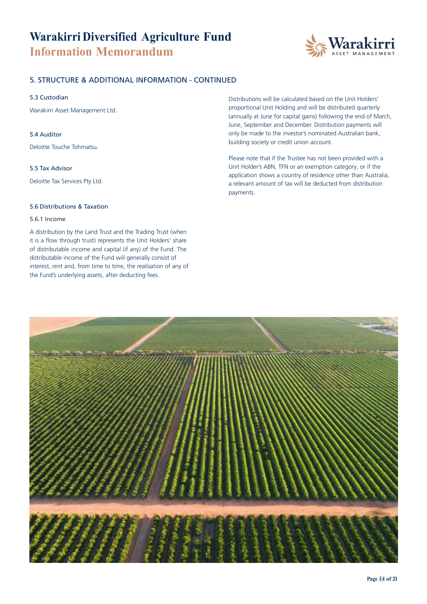

#### 5. STRUCTURE & ADDITIONAL INFORMATION - CONTINUED

#### 5.3 Custodian

Warakirri Asset Management Ltd.

#### 5.4 Auditor

Deloitte Touche Tohmatsu.

#### 5.5 Tax Advisor

Deloitte Tax Services Pty Ltd.

#### 5.6 Distributions & Taxation

#### 5.6.1 Income

A distribution by the Land Trust and the Trading Trust (when it is a flow through trust) represents the Unit Holders' share of distributable income and capital (if any) of the Fund. The distributable income of the Fund will generally consist of interest, rent and, from time to time, the realisation of any of the Fund's underlying assets, after deducting fees.

Distributions will be calculated based on the Unit Holders' proportional Unit Holding and will be distributed quarterly (annually at June for capital gains) following the end of March, June, September and December. Distribution payments will only be made to the investor's nominated Australian bank, building society or credit union account.

Please note that if the Trustee has not been provided with a Unit Holder's ABN, TFN or an exemption category, or if the application shows a country of residence other than Australia, a relevant amount of tax will be deducted from distribution payments.

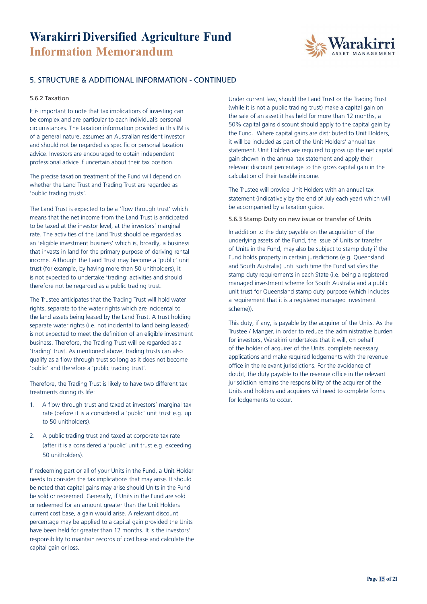

#### 5. STRUCTURE & ADDITIONAL INFORMATION - CONTINUED

#### 5.6.2 Taxation

It is important to note that tax implications of investing can be complex and are particular to each individual's personal circumstances. The taxation information provided in this IM is of a general nature, assumes an Australian resident investor and should not be regarded as specific or personal taxation advice. Investors are encouraged to obtain independent professional advice if uncertain about their tax position.

The precise taxation treatment of the Fund will depend on whether the Land Trust and Trading Trust are regarded as 'public trading trusts'.

The Land Trust is expected to be a 'flow through trust' which means that the net income from the Land Trust is anticipated to be taxed at the investor level, at the investors' marginal rate. The activities of the Land Trust should be regarded as an 'eligible investment business' which is, broadly, a business that invests in land for the primary purpose of deriving rental income. Although the Land Trust may become a 'public' unit trust (for example, by having more than 50 unitholders), it is not expected to undertake 'trading' activities and should therefore not be regarded as a public trading trust.

The Trustee anticipates that the Trading Trust will hold water rights, separate to the water rights which are incidental to the land assets being leased by the Land Trust. A trust holding separate water rights (i.e. not incidental to land being leased) is not expected to meet the definition of an eligible investment business. Therefore, the Trading Trust will be regarded as a 'trading' trust. As mentioned above, trading trusts can also qualify as a flow through trust so long as it does not become 'public' and therefore a 'public trading trust'.

Therefore, the Trading Trust is likely to have two different tax treatments during its life:

- 1. A flow through trust and taxed at investors' marginal tax rate (before it is a considered a 'public' unit trust e.g. up to 50 unitholders).
- 2. A public trading trust and taxed at corporate tax rate (after it is a considered a 'public' unit trust e.g. exceeding 50 unitholders).

If redeeming part or all of your Units in the Fund, a Unit Holder needs to consider the tax implications that may arise. It should be noted that capital gains may arise should Units in the Fund be sold or redeemed. Generally, if Units in the Fund are sold or redeemed for an amount greater than the Unit Holders current cost base, a gain would arise. A relevant discount percentage may be applied to a capital gain provided the Units have been held for greater than 12 months. It is the investors' responsibility to maintain records of cost base and calculate the capital gain or loss.

Under current law, should the Land Trust or the Trading Trust (while it is not a public trading trust) make a capital gain on the sale of an asset it has held for more than 12 months, a 50% capital gains discount should apply to the capital gain by the Fund. Where capital gains are distributed to Unit Holders, it will be included as part of the Unit Holders' annual tax statement. Unit Holders are required to gross up the net capital gain shown in the annual tax statement and apply their relevant discount percentage to this gross capital gain in the calculation of their taxable income.

The Trustee will provide Unit Holders with an annual tax statement (indicatively by the end of July each year) which will be accompanied by a taxation guide.

#### 5.6.3 Stamp Duty on new issue or transfer of Units

In addition to the duty payable on the acquisition of the underlying assets of the Fund, the issue of Units or transfer of Units in the Fund, may also be subject to stamp duty if the Fund holds property in certain jurisdictions (e.g. Queensland and South Australia) until such time the Fund satisfies the stamp duty requirements in each State (i.e. being a registered managed investment scheme for South Australia and a public unit trust for Queensland stamp duty purpose (which includes a requirement that it is a registered managed investment scheme)).

This duty, if any, is payable by the acquirer of the Units. As the Trustee / Manger, in order to reduce the administrative burden for investors, Warakirri undertakes that it will, on behalf of the holder of acquirer of the Units, complete necessary applications and make required lodgements with the revenue office in the relevant jurisdictions. For the avoidance of doubt, the duty payable to the revenue office in the relevant jurisdiction remains the responsibility of the acquirer of the Units and holders and acquirers will need to complete forms for lodgements to occur.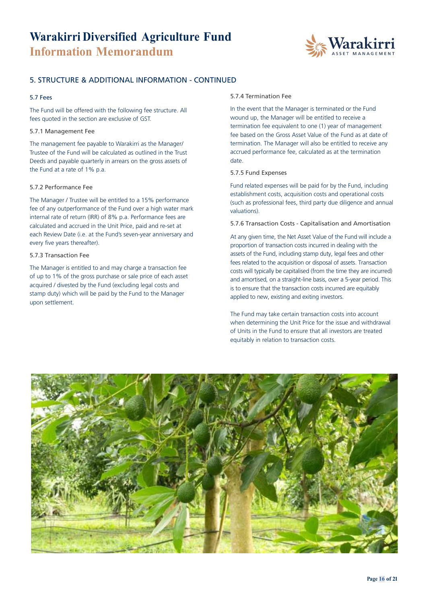

#### 5. STRUCTURE & ADDITIONAL INFORMATION - CONTINUED

#### 5.7 Fees

The Fund will be offered with the following fee structure. All fees quoted in the section are exclusive of GST.

#### 5.7.1 Management Fee

The management fee payable to Warakirri as the Manager/ Trustee of the Fund will be calculated as outlined in the Trust Deeds and payable quarterly in arrears on the gross assets of the Fund at a rate of 1% p.a.

#### 5.7.2 Performance Fee

The Manager / Trustee will be entitled to a 15% performance fee of any outperformance of the Fund over a high water mark internal rate of return (IRR) of 8% p.a. Performance fees are calculated and accrued in the Unit Price, paid and re-set at each Review Date (i.e. at the Fund's seven-year anniversary and every five years thereafter).

#### 5.7.3 Transaction Fee

The Manager is entitled to and may charge a transaction fee of up to 1% of the gross purchase or sale price of each asset acquired / divested by the Fund (excluding legal costs and stamp duty) which will be paid by the Fund to the Manager upon settlement.

#### 5.7.4 Termination Fee

In the event that the Manager is terminated or the Fund wound up, the Manager will be entitled to receive a termination fee equivalent to one (1) year of management fee based on the Gross Asset Value of the Fund as at date of termination. The Manager will also be entitled to receive any accrued performance fee, calculated as at the termination date.

#### 5.7.5 Fund Expenses

Fund related expenses will be paid for by the Fund, including establishment costs, acquisition costs and operational costs (such as professional fees, third party due diligence and annual valuations).

#### 5.7.6 Transaction Costs - Capitalisation and Amortisation

At any given time, the Net Asset Value of the Fund will include a proportion of transaction costs incurred in dealing with the assets of the Fund, including stamp duty, legal fees and other fees related to the acquisition or disposal of assets. Transaction costs will typically be capitalised (from the time they are incurred) and amortised, on a straight-line basis, over a 5-year period. This is to ensure that the transaction costs incurred are equitably applied to new, existing and exiting investors.

The Fund may take certain transaction costs into account when determining the Unit Price for the issue and withdrawal of Units in the Fund to ensure that all investors are treated equitably in relation to transaction costs.

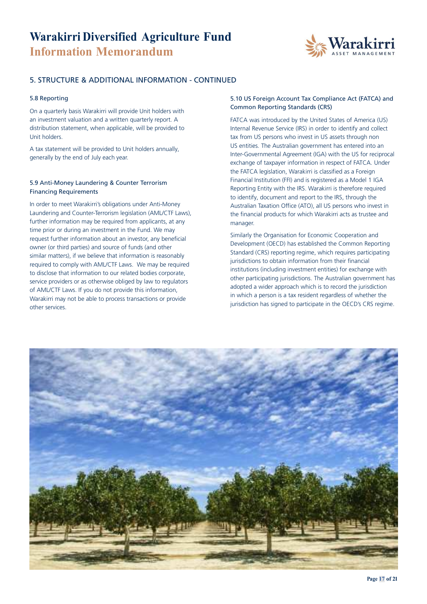

#### 5. STRUCTURE & ADDITIONAL INFORMATION - CONTINUED

#### 5.8 Reporting

On a quarterly basis Warakirri will provide Unit holders with an investment valuation and a written quarterly report. A distribution statement, when applicable, will be provided to Unit holders.

A tax statement will be provided to Unit holders annually, generally by the end of July each year.

#### 5.9 Anti-Money Laundering & Counter Terrorism Financing Requirements

In order to meet Warakirri's obligations under Anti-Money Laundering and Counter-Terrorism legislation (AML/CTF Laws), further information may be required from applicants, at any time prior or during an investment in the Fund. We may request further information about an investor, any beneficial owner (or third parties) and source of funds (and other similar matters), if we believe that information is reasonably required to comply with AML/CTF Laws. We may be required to disclose that information to our related bodies corporate, service providers or as otherwise obliged by law to regulators of AML/CTF Laws. If you do not provide this information, Warakirri may not be able to process transactions or provide other services.

#### 5.10 US Foreign Account Tax Compliance Act (FATCA) and Common Reporting Standards (CRS)

FATCA was introduced by the United States of America (US) Internal Revenue Service (IRS) in order to identify and collect tax from US persons who invest in US assets through non US entities. The Australian government has entered into an Inter-Governmental Agreement (IGA) with the US for reciprocal exchange of taxpayer information in respect of FATCA. Under the FATCA legislation, Warakirri is classified as a Foreign Financial Institution (FFI) and is registered as a Model 1 IGA Reporting Entity with the IRS. Warakirri is therefore required to identify, document and report to the IRS, through the Australian Taxation Office (ATO), all US persons who invest in the financial products for which Warakirri acts as trustee and manager.

Similarly the Organisation for Economic Cooperation and Development (OECD) has established the Common Reporting Standard (CRS) reporting regime, which requires participating jurisdictions to obtain information from their financial institutions (including investment entities) for exchange with other participating jurisdictions. The Australian government has adopted a wider approach which is to record the jurisdiction in which a person is a tax resident regardless of whether the jurisdiction has signed to participate in the OECD's CRS regime.

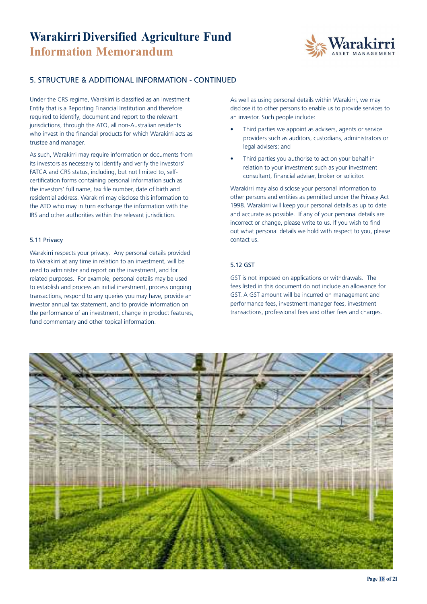

#### 5. STRUCTURE & ADDITIONAL INFORMATION - CONTINUED

Under the CRS regime, Warakirri is classified as an Investment Entity that is a Reporting Financial Institution and therefore required to identify, document and report to the relevant jurisdictions, through the ATO, all non-Australian residents who invest in the financial products for which Warakirri acts as trustee and manager.

As such, Warakirri may require information or documents from its investors as necessary to identify and verify the investors' FATCA and CRS status, including, but not limited to, selfcertification forms containing personal information such as the investors' full name, tax file number, date of birth and residential address. Warakirri may disclose this information to the ATO who may in turn exchange the information with the IRS and other authorities within the relevant jurisdiction.

#### 5.11 Privacy

Warakirri respects your privacy. Any personal details provided to Warakirri at any time in relation to an investment, will be used to administer and report on the investment, and for related purposes. For example, personal details may be used to establish and process an initial investment, process ongoing transactions, respond to any queries you may have, provide an investor annual tax statement, and to provide information on the performance of an investment, change in product features, fund commentary and other topical information.

As well as using personal details within Warakirri, we may disclose it to other persons to enable us to provide services to an investor. Such people include:

- Third parties we appoint as advisers, agents or service providers such as auditors, custodians, administrators or legal advisers; and
- Third parties you authorise to act on your behalf in relation to your investment such as your investment consultant, financial adviser, broker or solicitor.

Warakirri may also disclose your personal information to other persons and entities as permitted under the Privacy Act 1998. Warakirri will keep your personal details as up to date and accurate as possible. If any of your personal details are incorrect or change, please write to us. If you wish to find out what personal details we hold with respect to you, please contact us.

#### 5.12 GST

GST is not imposed on applications or withdrawals. The fees listed in this document do not include an allowance for GST. A GST amount will be incurred on management and performance fees, investment manager fees, investment transactions, professional fees and other fees and charges.

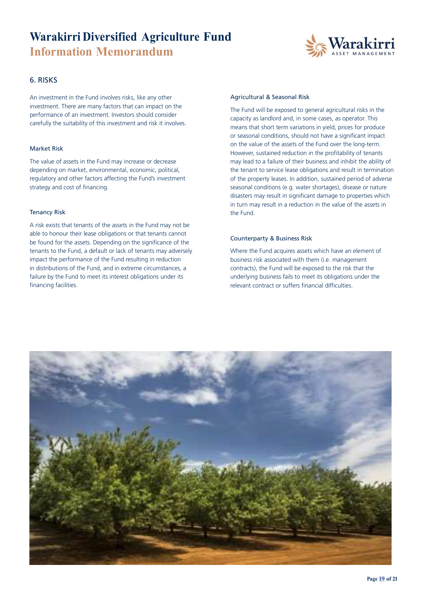

#### 6. RISKS

An investment in the Fund involves risks, like any other investment. There are many factors that can impact on the performance of an investment. Investors should consider carefully the suitability of this investment and risk it involves.

#### Market Risk

The value of assets in the Fund may increase or decrease depending on market, environmental, economic, political, regulatory and other factors affecting the Fund's investment strategy and cost of financing.

#### Tenancy Risk

A risk exists that tenants of the assets in the Fund may not be able to honour their lease obligations or that tenants cannot be found for the assets. Depending on the significance of the tenants to the Fund, a default or lack of tenants may adversely impact the performance of the Fund resulting in reduction in distributions of the Fund, and in extreme circumstances, a failure by the Fund to meet its interest obligations under its financing facilities.

#### Agricultural & Seasonal Risk

The Fund will be exposed to general agricultural risks in the capacity as landlord and, in some cases, as operator. This means that short term variations in yield, prices for produce or seasonal conditions, should not have a significant impact on the value of the assets of the Fund over the long-term. However, sustained reduction in the profitability of tenants may lead to a failure of their business and inhibit the ability of the tenant to service lease obligations and result in termination of the property leases. In addition, sustained period of adverse seasonal conditions (e.g. water shortages), disease or nature disasters may result in significant damage to properties which in turn may result in a reduction in the value of the assets in the Fund.

#### Counterparty & Business Risk

Where the Fund acquires assets which have an element of business risk associated with them (i.e. management contracts), the Fund will be exposed to the risk that the underlying business fails to meet its obligations under the relevant contract or suffers financial difficulties.

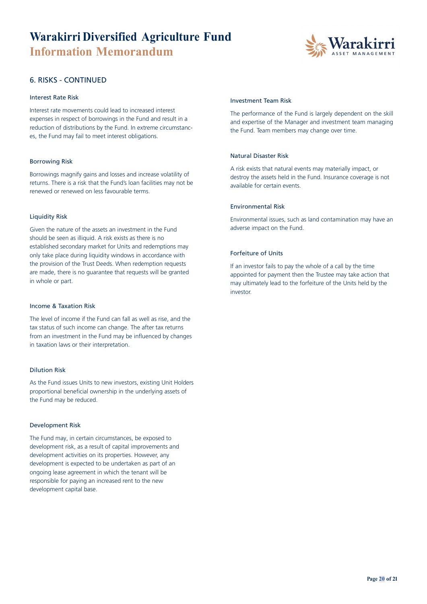

#### 6. RISKS - CONTINUED

#### Interest Rate Risk

Interest rate movements could lead to increased interest expenses in respect of borrowings in the Fund and result in a reduction of distributions by the Fund. In extreme circumstances, the Fund may fail to meet interest obligations.

#### Borrowing Risk

Borrowings magnify gains and losses and increase volatility of returns. There is a risk that the Fund's loan facilities may not be renewed or renewed on less favourable terms.

#### Liquidity Risk

Given the nature of the assets an investment in the Fund should be seen as illiquid. A risk exists as there is no established secondary market for Units and redemptions may only take place during liquidity windows in accordance with the provision of the Trust Deeds. When redemption requests are made, there is no guarantee that requests will be granted in whole or part.

#### Income & Taxation Risk

The level of income if the Fund can fall as well as rise, and the tax status of such income can change. The after tax returns from an investment in the Fund may be influenced by changes in taxation laws or their interpretation.

#### Dilution Risk

As the Fund issues Units to new investors, existing Unit Holders proportional beneficial ownership in the underlying assets of the Fund may be reduced.

#### Development Risk

The Fund may, in certain circumstances, be exposed to development risk, as a result of capital improvements and development activities on its properties. However, any development is expected to be undertaken as part of an ongoing lease agreement in which the tenant will be responsible for paying an increased rent to the new development capital base.

#### Investment Team Risk

The performance of the Fund is largely dependent on the skill and expertise of the Manager and investment team managing the Fund. Team members may change over time.

#### Natural Disaster Risk

A risk exists that natural events may materially impact, or destroy the assets held in the Fund. Insurance coverage is not available for certain events.

#### Environmental Risk

Environmental issues, such as land contamination may have an adverse impact on the Fund.

#### Forfeiture of Units

If an investor fails to pay the whole of a call by the time appointed for payment then the Trustee may take action that may ultimately lead to the forfeiture of the Units held by the investor.